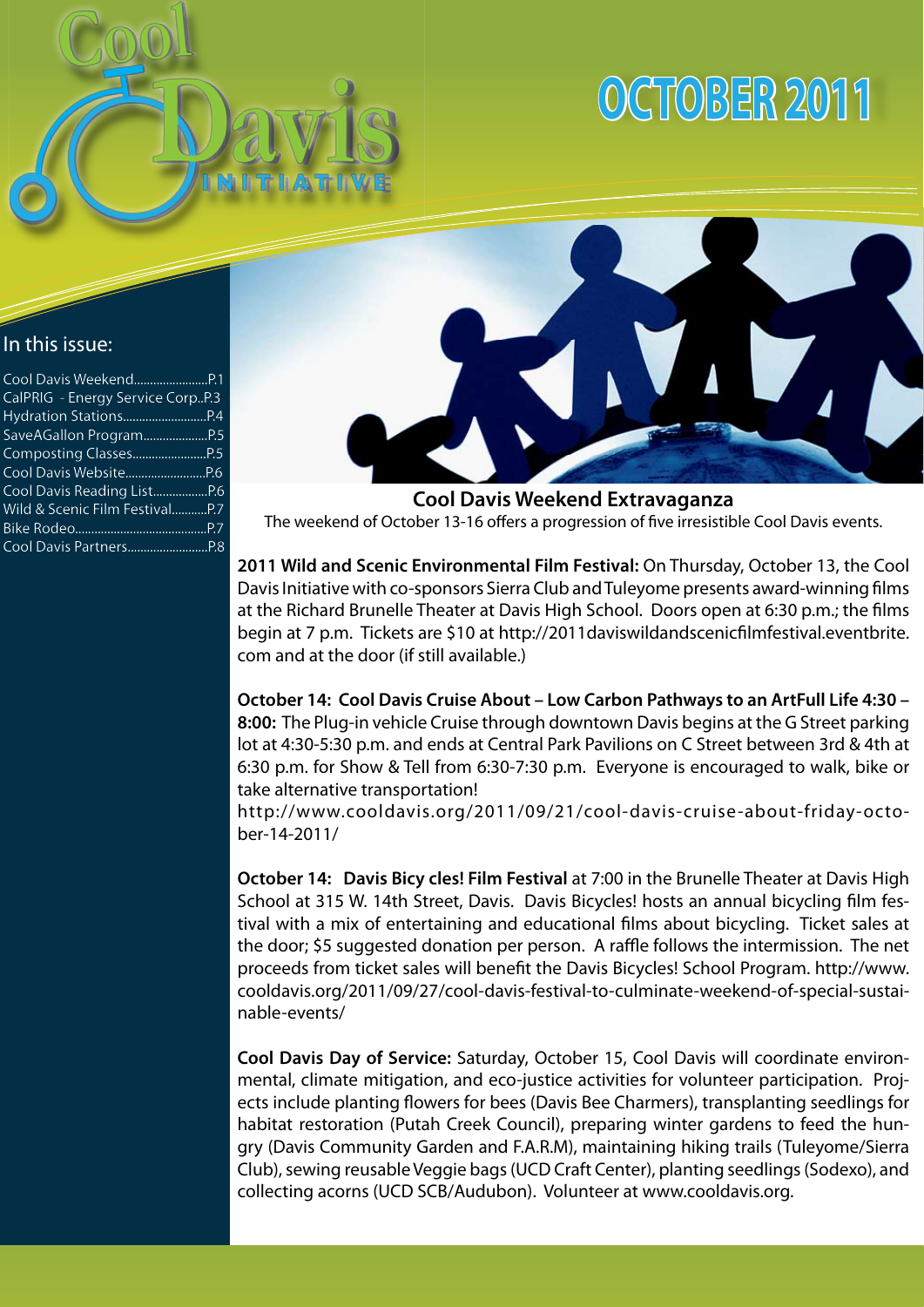

# **October 2011**

## In this issue:

| CalPRIG - Energy Service CorpP.3 |  |
|----------------------------------|--|
|                                  |  |
|                                  |  |
|                                  |  |
|                                  |  |
|                                  |  |
|                                  |  |
|                                  |  |
| Wild & Scenic Film FestivalP.7   |  |
|                                  |  |
|                                  |  |



**Cool Davis Weekend Extravaganza** The weekend of October 13-16 offers a progression of five irresistible Cool Davis events.

**2011 Wild and Scenic Environmental Film Festival:** On Thursday, October 13, the Cool Davis Initiative with co-sponsors Sierra Club and Tuleyome presents award-winning films at the Richard Brunelle Theater at Davis High School. Doors open at 6:30 p.m.; the films begin at 7 p.m. Tickets are \$10 at http://2011daviswildandscenicfilmfestival.eventbrite. com and at the door (if still available.)

**October 14: Cool Davis Cruise About – Low Carbon Pathways to an ArtFull Life 4:30 – 8:00:** The Plug-in vehicle Cruise through downtown Davis begins at the G Street parking lot at 4:30-5:30 p.m. and ends at Central Park Pavilions on C Street between 3rd & 4th at 6:30 p.m. for Show & Tell from 6:30-7:30 p.m. Everyone is encouraged to walk, bike or take alternative transportation!

http://www.cooldavis.org/2011/09/21/cool-davis-cruise-about-friday-october-14-2011/

**October 14: Davis Bicy cles! Film Festival** at 7:00 in the Brunelle Theater at Davis High School at 315 W. 14th Street, Davis. Davis Bicycles! hosts an annual bicycling film festival with a mix of entertaining and educational films about bicycling. Ticket sales at the door; \$5 suggested donation per person. A raffle follows the intermission. The net proceeds from ticket sales will benefit the Davis Bicycles! School Program. http://www. cooldavis.org/2011/09/27/cool-davis-festival-to-culminate-weekend-of-special-sustainable-events/

**Cool Davis Day of Service:** Saturday, October 15, Cool Davis will coordinate environmental, climate mitigation, and eco-justice activities for volunteer participation. Projects include planting flowers for bees (Davis Bee Charmers), transplanting seedlings for habitat restoration (Putah Creek Council), preparing winter gardens to feed the hungry (Davis Community Garden and F.A.R.M), maintaining hiking trails (Tuleyome/Sierra Club), sewing reusable Veggie bags (UCD Craft Center), planting seedlings (Sodexo), and collecting acorns (UCD SCB/Audubon). Volunteer at www.cooldavis.org.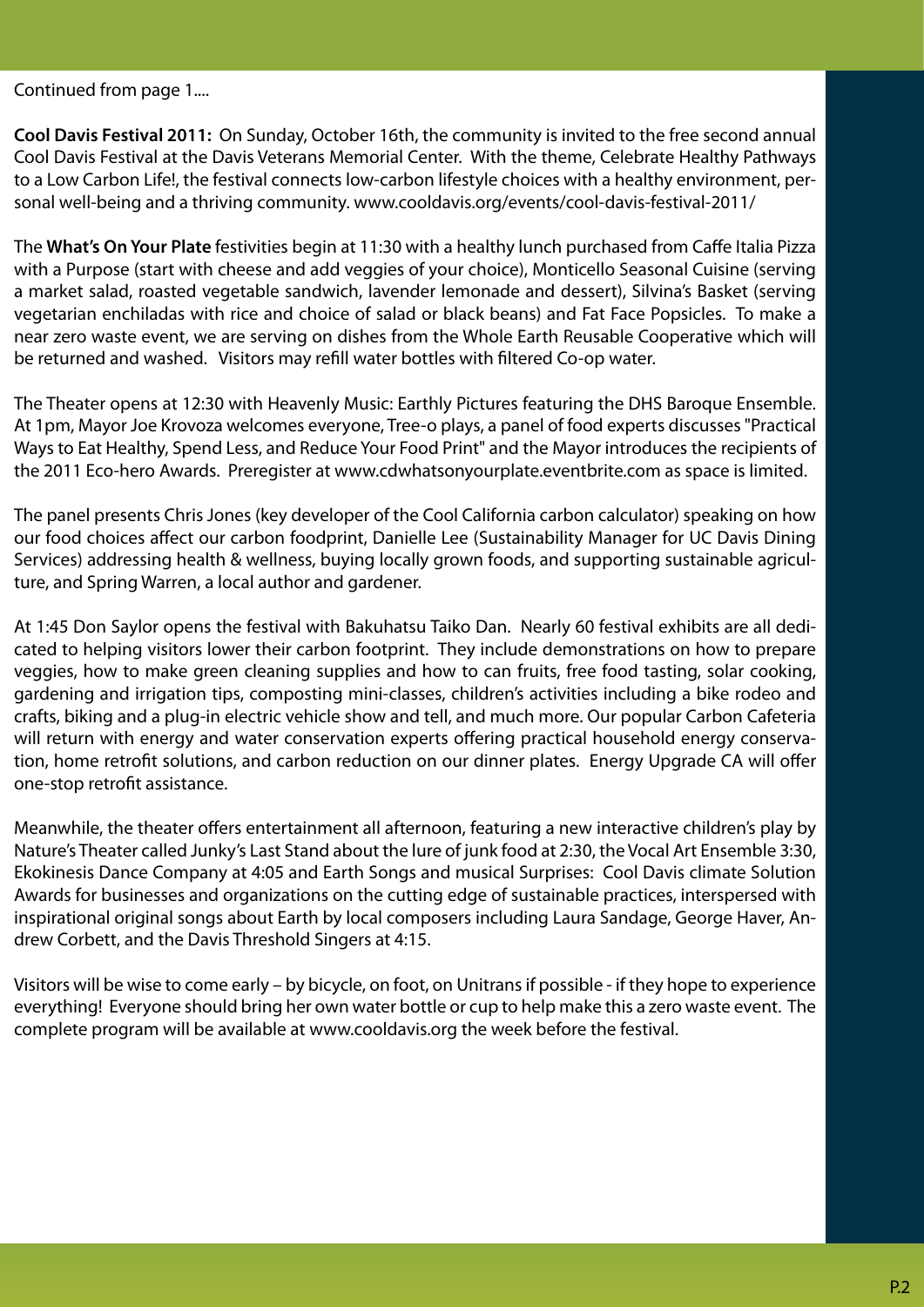Continued from page 1....

**Cool Davis Festival 2011:** On Sunday, October 16th, the community is invited to the free second annual Cool Davis Festival at the Davis Veterans Memorial Center. With the theme, Celebrate Healthy Pathways to a Low Carbon Life!, the festival connects low-carbon lifestyle choices with a healthy environment, personal well-being and a thriving community. www.cooldavis.org/events/cool-davis-festival-2011/

The **What's On Your Plate** festivities begin at 11:30 with a healthy lunch purchased from Caffe Italia Pizza with a Purpose (start with cheese and add veggies of your choice), Monticello Seasonal Cuisine (serving a market salad, roasted vegetable sandwich, lavender lemonade and dessert), Silvina's Basket (serving vegetarian enchiladas with rice and choice of salad or black beans) and Fat Face Popsicles. To make a near zero waste event, we are serving on dishes from the Whole Earth Reusable Cooperative which will be returned and washed. Visitors may refill water bottles with filtered Co-op water.

The Theater opens at 12:30 with Heavenly Music: Earthly Pictures featuring the DHS Baroque Ensemble. At 1pm, Mayor Joe Krovoza welcomes everyone, Tree-o plays, a panel of food experts discusses "Practical Ways to Eat Healthy, Spend Less, and Reduce Your Food Print" and the Mayor introduces the recipients of the 2011 Eco-hero Awards. Preregister at www.cdwhatsonyourplate.eventbrite.com as space is limited.

The panel presents Chris Jones (key developer of the Cool California carbon calculator) speaking on how our food choices affect our carbon foodprint, Danielle Lee (Sustainability Manager for UC Davis Dining Services) addressing health & wellness, buying locally grown foods, and supporting sustainable agriculture, and Spring Warren, a local author and gardener.

At 1:45 Don Saylor opens the festival with Bakuhatsu Taiko Dan. Nearly 60 festival exhibits are all dedicated to helping visitors lower their carbon footprint. They include demonstrations on how to prepare veggies, how to make green cleaning supplies and how to can fruits, free food tasting, solar cooking, gardening and irrigation tips, composting mini-classes, children's activities including a bike rodeo and crafts, biking and a plug-in electric vehicle show and tell, and much more. Our popular Carbon Cafeteria will return with energy and water conservation experts offering practical household energy conservation, home retrofit solutions, and carbon reduction on our dinner plates. Energy Upgrade CA will offer one-stop retrofit assistance.

Meanwhile, the theater offers entertainment all afternoon, featuring a new interactive children's play by Nature's Theater called Junky's Last Stand about the lure of junk food at 2:30, the Vocal Art Ensemble 3:30, Ekokinesis Dance Company at 4:05 and Earth Songs and musical Surprises: Cool Davis climate Solution Awards for businesses and organizations on the cutting edge of sustainable practices, interspersed with inspirational original songs about Earth by local composers including Laura Sandage, George Haver, Andrew Corbett, and the Davis Threshold Singers at 4:15.

Visitors will be wise to come early – by bicycle, on foot, on Unitrans if possible - if they hope to experience everything! Everyone should bring her own water bottle or cup to help make this a zero waste event. The complete program will be available at www.cooldavis.org the week before the festival.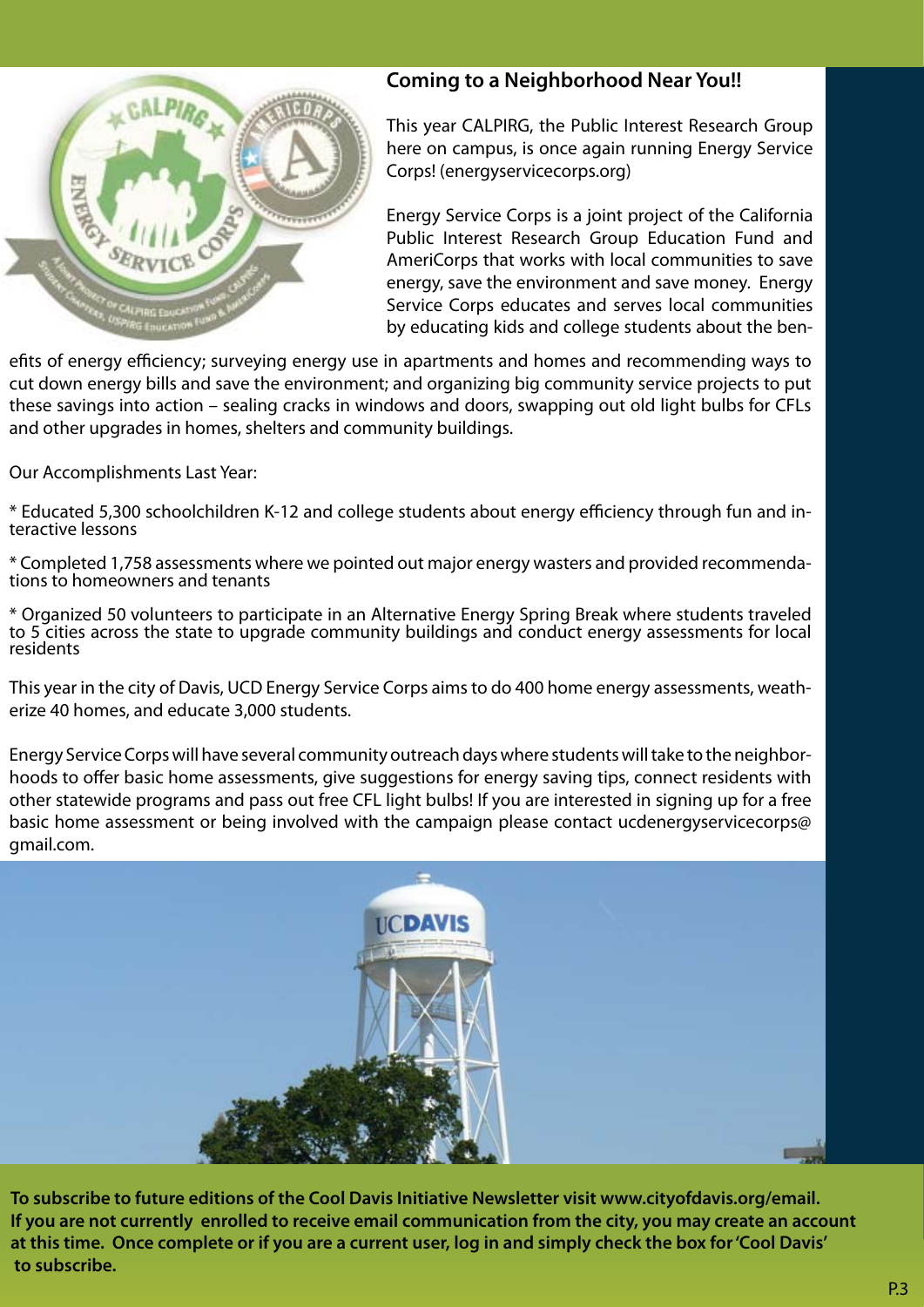

## **Coming to a Neighborhood Near You!!**

This year CALPIRG, the Public Interest Research Group here on campus, is once again running Energy Service Corps! (energyservicecorps.org)

Energy Service Corps is a joint project of the California Public Interest Research Group Education Fund and AmeriCorps that works with local communities to save energy, save the environment and save money. Energy Service Corps educates and serves local communities by educating kids and college students about the ben-

efits of energy efficiency; surveying energy use in apartments and homes and recommending ways to cut down energy bills and save the environment; and organizing big community service projects to put these savings into action – sealing cracks in windows and doors, swapping out old light bulbs for CFLs and other upgrades in homes, shelters and community buildings.

Our Accomplishments Last Year:

\* Educated 5,300 schoolchildren K-12 and college students about energy efficiency through fun and in- teractive lessons

\* Completed 1,758 assessments where we pointed out major energy wasters and provided recommenda-<br>tions to homeowners and tenants

\* Organized 50 volunteers to participate in an Alternative Energy Spring Break where students traveled to 5 cities across the state to upgrade community buildings and conduct energy assessments for local residents

This year in the city of Davis, UCD Energy Service Corps aims to do 400 home energy assessments, weatherize 40 homes, and educate 3,000 students.

Energy Service Corps will have several community outreach days where students will take to the neighborhoods to offer basic home assessments, give suggestions for energy saving tips, connect residents with other statewide programs and pass out free CFL light bulbs! If you are interested in signing up for a free basic home assessment or being involved with the campaign please contact ucdenergyservicecorps@ gmail.com.



**To subscribe to future editions of the Cool Davis Initiative Newsletter visit www.cityofdavis.org/email. If you are not currently enrolled to receive email communication from the city, you may create an account at this time. Once complete or if you are a current user, log in and simply check the box for 'Cool Davis' to subscribe.**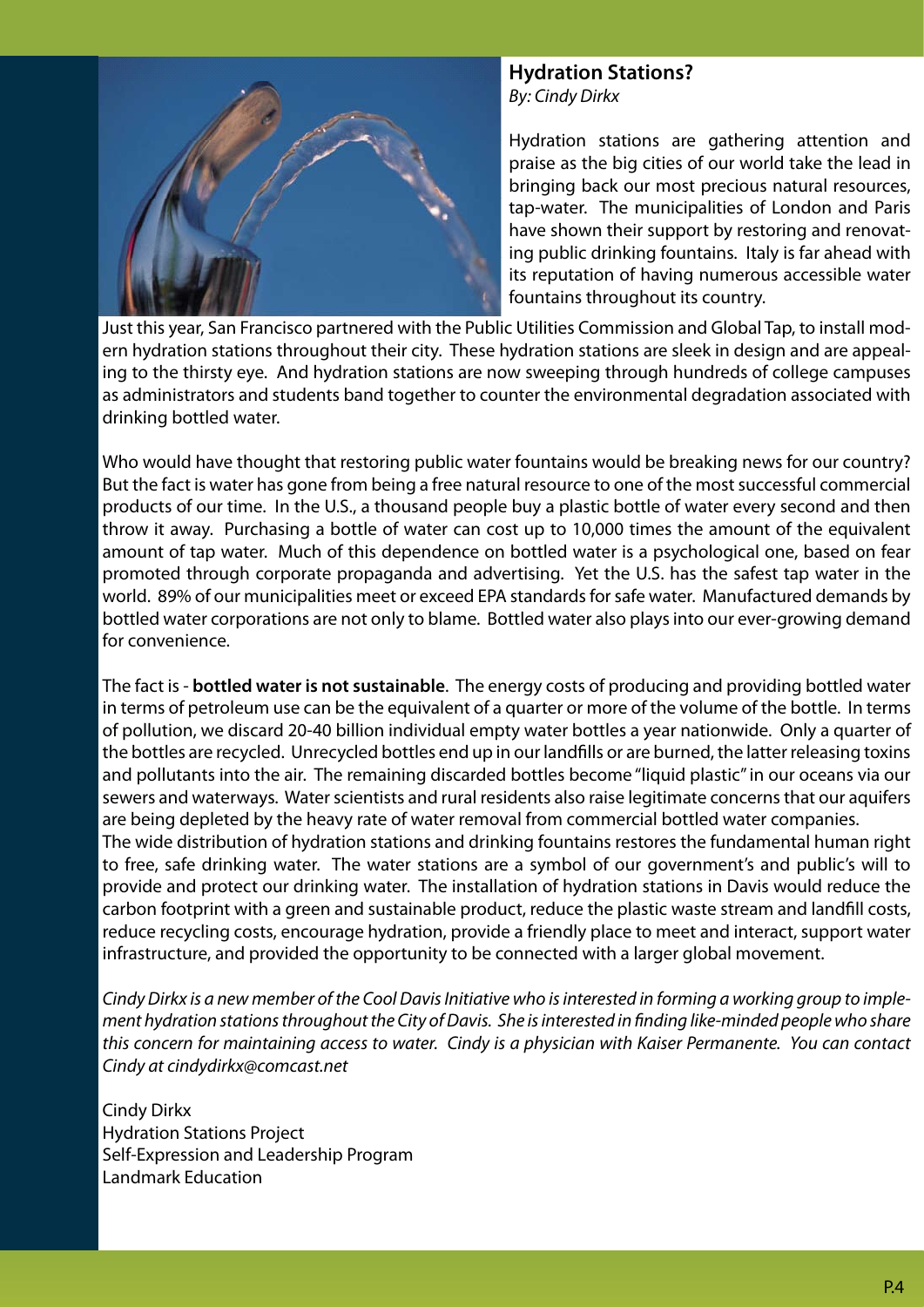

**Hydration Stations?** *By: Cindy Dirkx*

Hydration stations are gathering attention and praise as the big cities of our world take the lead in bringing back our most precious natural resources, tap-water. The municipalities of London and Paris have shown their support by restoring and renovating public drinking fountains. Italy is far ahead with its reputation of having numerous accessible water fountains throughout its country.

Just this year, San Francisco partnered with the Public Utilities Commission and Global Tap, to install modern hydration stations throughout their city. These hydration stations are sleek in design and are appealing to the thirsty eye. And hydration stations are now sweeping through hundreds of college campuses as administrators and students band together to counter the environmental degradation associated with drinking bottled water.

Who would have thought that restoring public water fountains would be breaking news for our country? But the fact is water has gone from being a free natural resource to one of the most successful commercial products of our time. In the U.S., a thousand people buy a plastic bottle of water every second and then throw it away. Purchasing a bottle of water can cost up to 10,000 times the amount of the equivalent amount of tap water. Much of this dependence on bottled water is a psychological one, based on fear promoted through corporate propaganda and advertising. Yet the U.S. has the safest tap water in the world. 89% of our municipalities meet or exceed EPA standards for safe water. Manufactured demands by bottled water corporations are not only to blame. Bottled water also plays into our ever-growing demand for convenience.

The fact is - **bottled water is not sustainable**. The energy costs of producing and providing bottled water in terms of petroleum use can be the equivalent of a quarter or more of the volume of the bottle. In terms of pollution, we discard 20-40 billion individual empty water bottles a year nationwide. Only a quarter of the bottles are recycled. Unrecycled bottles end up in our landfills or are burned, the latter releasing toxins and pollutants into the air. The remaining discarded bottles become "liquid plastic" in our oceans via our sewers and waterways. Water scientists and rural residents also raise legitimate concerns that our aquifers are being depleted by the heavy rate of water removal from commercial bottled water companies. The wide distribution of hydration stations and drinking fountains restores the fundamental human right to free, safe drinking water. The water stations are a symbol of our government's and public's will to provide and protect our drinking water. The installation of hydration stations in Davis would reduce the carbon footprint with a green and sustainable product, reduce the plastic waste stream and landfill costs, reduce recycling costs, encourage hydration, provide a friendly place to meet and interact, support water

*Cindy Dirkx is a new member of the Cool Davis Initiative who is interested in forming a working group to implement hydration stations throughout the City of Davis. She is interested in finding like-minded people who share this concern for maintaining access to water. Cindy is a physician with Kaiser Permanente. You can contact Cindy at cindydirkx@comcast.net*

infrastructure, and provided the opportunity to be connected with a larger global movement.

Cindy Dirkx Hydration Stations Project Self-Expression and Leadership Program Landmark Education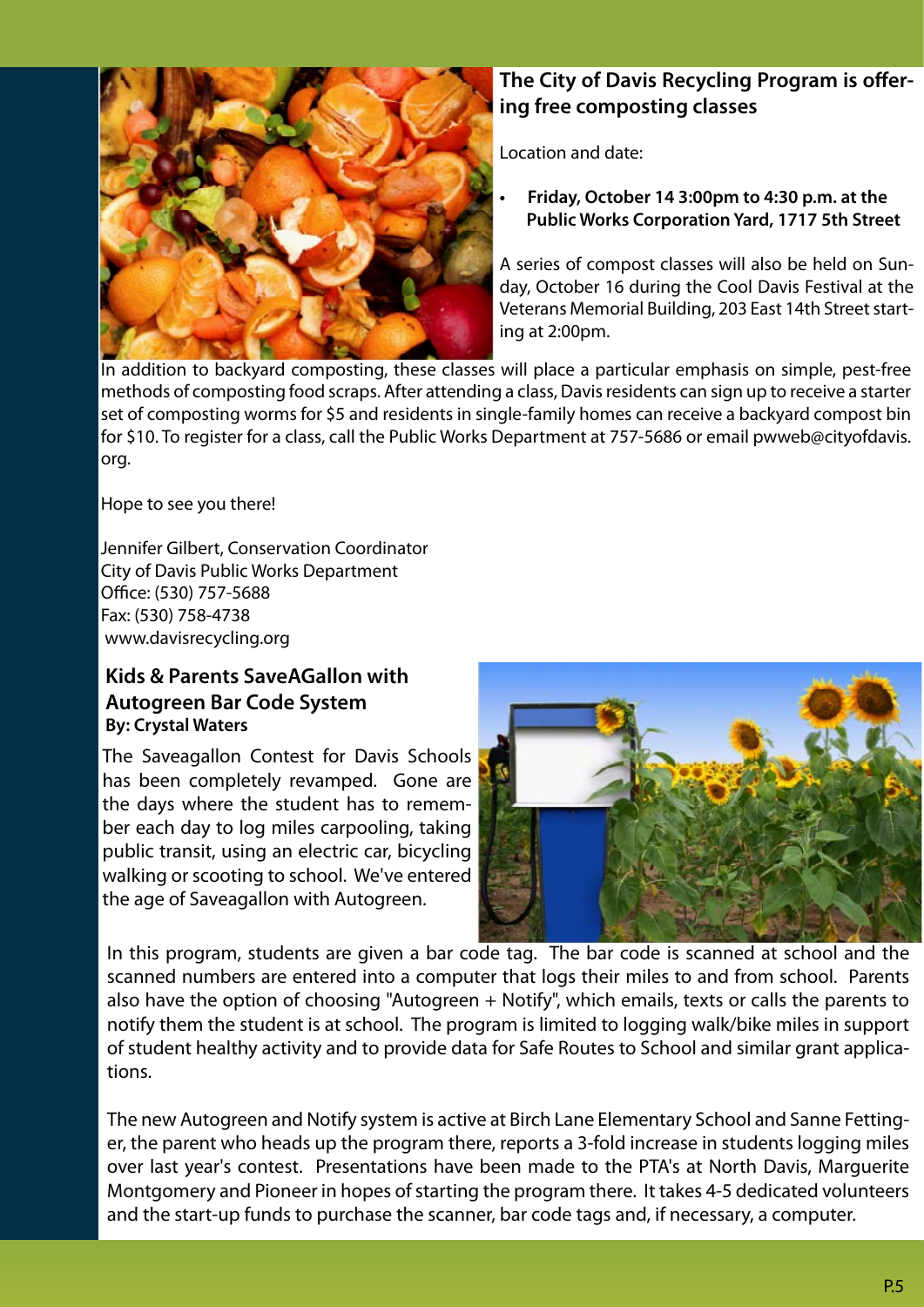

## **The City of Davis Recycling Program is offering free composting classes**

Location and date:

**• Friday, October 14 3:00pm to 4:30 p.m. at the Public Works Corporation Yard, 1717 5th Street**

A series of compost classes will also be held on Sunday, October 16 during the Cool Davis Festival at the Veterans Memorial Building, 203 East 14th Street starting at 2:00pm.

In addition to backyard composting, these classes will place a particular emphasis on simple, pest-free methods of composting food scraps. After attending a class, Davis residents can sign up to receive a starter set of composting worms for \$5 and residents in single-family homes can receive a backyard compost bin for \$10. To register for a class, call the Public Works Department at 757-5686 or email pwweb@cityofdavis. org.

Hope to see you there!

Jennifer Gilbert, Conservation Coordinator City of Davis Public Works Department Office: (530) 757-5688 Fax: (530) 758-4738 www.davisrecycling.org

## **Kids & Parents SaveAGallon with Autogreen Bar Code System By: Crystal Waters**

The Saveagallon Contest for Davis Schools has been completely revamped. Gone are the days where the student has to remember each day to log miles carpooling, taking public transit, using an electric car, bicycling walking or scooting to school. We've entered the age of Saveagallon with Autogreen.



In this program, students are given a bar code tag. The bar code is scanned at school and the scanned numbers are entered into a computer that logs their miles to and from school. Parents also have the option of choosing "Autogreen + Notify", which emails, texts or calls the parents to notify them the student is at school. The program is limited to logging walk/bike miles in support of student healthy activity and to provide data for Safe Routes to School and similar grant applications.

The new Autogreen and Notify system is active at Birch Lane Elementary School and Sanne Fettinger, the parent who heads up the program there, reports a 3-fold increase in students logging miles over last year's contest. Presentations have been made to the PTA's at North Davis, Marguerite Montgomery and Pioneer in hopes of starting the program there. It takes 4-5 dedicated volunteers and the start-up funds to purchase the scanner, bar code tags and, if necessary, a computer.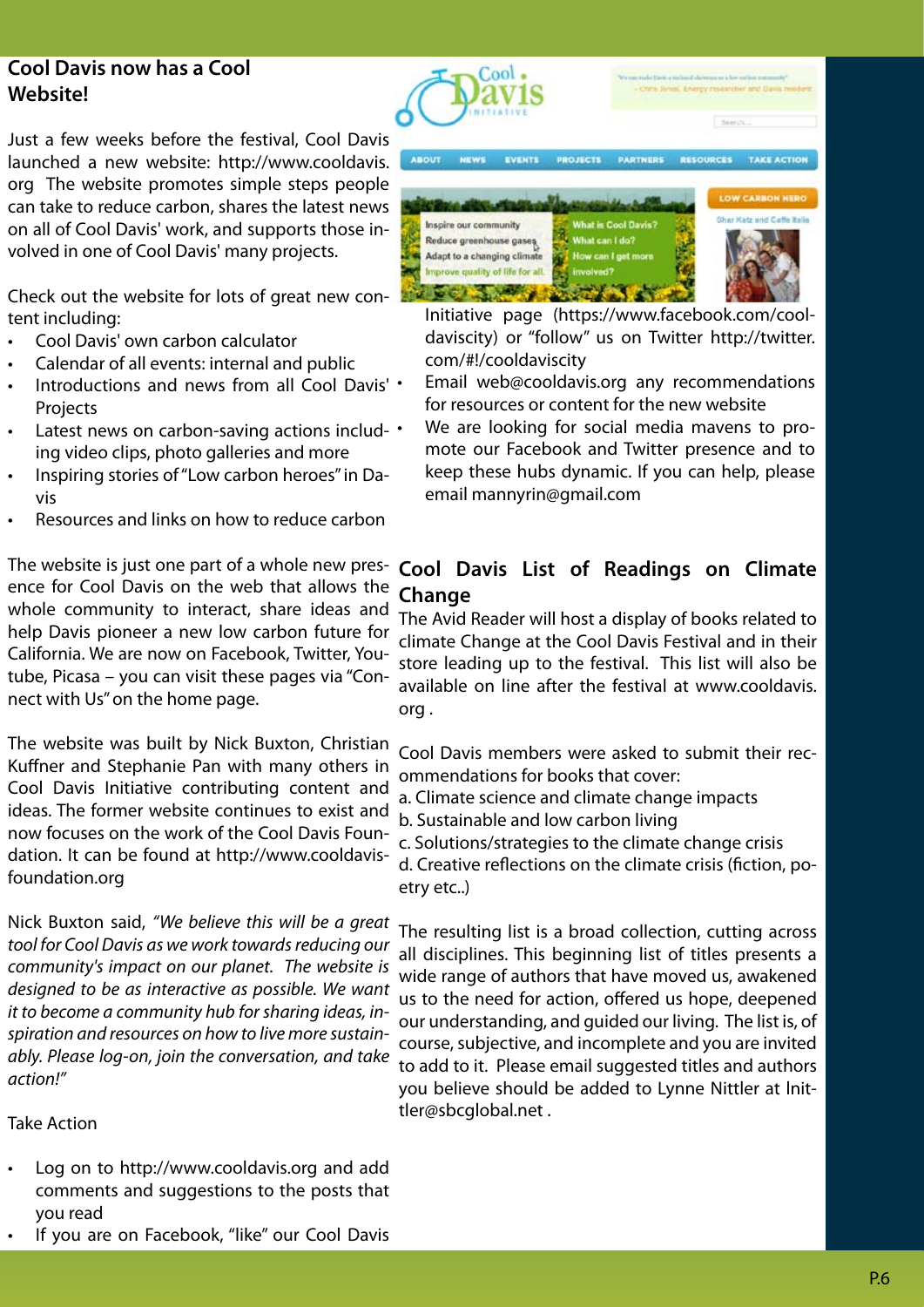## **Cool Davis now has a Cool Website!**

Just a few weeks before the festival, Cool Davis launched a new website: http://www.cooldavis. org The website promotes simple steps people can take to reduce carbon, shares the latest news on all of Cool Davis' work, and supports those involved in one of Cool Davis' many projects.

Check out the website for lots of great new content including:

- Cool Davis' own carbon calculator
- Calendar of all events: internal and public
- Introductions and news from all Cool Davis' **Projects**
- Latest news on carbon-saving actions includ-  $\cdot$ ing video clips, photo galleries and more
- Inspiring stories of "Low carbon heroes" in Davis
- Resources and links on how to reduce carbon

The website is just one part of a whole new presence for Cool Davis on the web that allows the whole community to interact, share ideas and help Davis pioneer a new low carbon future for California. We are now on Facebook, Twitter, Youtube, Picasa – you can visit these pages via "Connect with Us" on the home page.

The website was built by Nick Buxton, Christian Kuffner and Stephanie Pan with many others in Cool Davis Initiative contributing content and ideas. The former website continues to exist and now focuses on the work of the Cool Davis Foundation. It can be found at http://www.cooldavisfoundation.org

Nick Buxton said, *"We believe this will be a great tool for Cool Davis as we work towards reducing our community's impact on our planet. The website is designed to be as interactive as possible. We want it to become a community hub for sharing ideas, inspiration and resources on how to live more sustainably. Please log-on, join the conversation, and take action!"* 

#### Take Action

Log on to http://www.cooldavis.org and add comments and suggestions to the posts that you read



If you are on Facebook, "like" our Cool Davis



Initiative page (https://www.facebook.com/cooldaviscity) or "follow" us on Twitter http://twitter. com/#!/cooldaviscity

- Email web@cooldavis.org any recommendations for resources or content for the new website
- We are looking for social media mavens to promote our Facebook and Twitter presence and to keep these hubs dynamic. If you can help, please email mannyrin@gmail.com

## **Cool Davis List of Readings on Climate Change**

The Avid Reader will host a display of books related to climate Change at the Cool Davis Festival and in their store leading up to the festival. This list will also be available on line after the festival at www.cooldavis. org .

Cool Davis members were asked to submit their recommendations for books that cover:

- a. Climate science and climate change impacts
- b. Sustainable and low carbon living
- c. Solutions/strategies to the climate change crisis

d. Creative reflections on the climate crisis (fiction, poetry etc..)

The resulting list is a broad collection, cutting across all disciplines. This beginning list of titles presents a wide range of authors that have moved us, awakened us to the need for action, offered us hope, deepened our understanding, and guided our living. The list is, of course, subjective, and incomplete and you are invited to add to it. Please email suggested titles and authors you believe should be added to Lynne Nittler at lnittler@sbcglobal.net .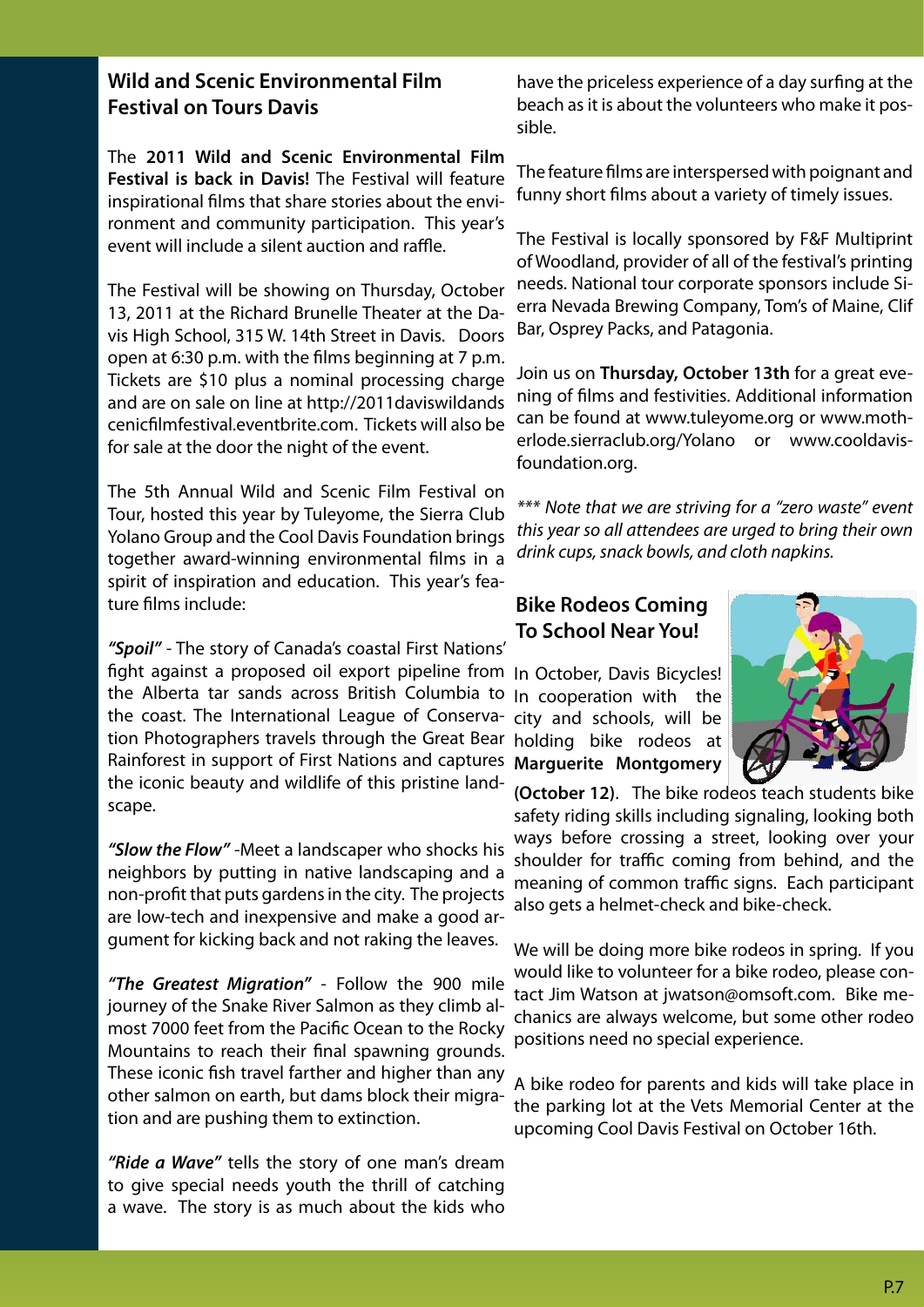## **Wild and Scenic Environmental Film Festival on Tours Davis**

The **2011 Wild and Scenic Environmental Film Festival is back in Davis!** The Festival will feature inspirational films that share stories about the environment and community participation. This year's event will include a silent auction and raffle.

The Festival will be showing on Thursday, October 13, 2011 at the Richard Brunelle Theater at the Davis High School, 315 W. 14th Street in Davis. Doors open at 6:30 p.m. with the films beginning at 7 p.m. Tickets are \$10 plus a nominal processing charge and are on sale on line at http://2011daviswildands cenicfilmfestival.eventbrite.com. Tickets will also be for sale at the door the night of the event.

The 5th Annual Wild and Scenic Film Festival on Tour, hosted this year by Tuleyome, the Sierra Club Yolano Group and the Cool Davis Foundation brings together award-winning environmental films in a spirit of inspiration and education. This year's feature films include:

*"Spoil"* - The story of Canada's coastal First Nations' fight against a proposed oil export pipeline from In October, Davis Bicycles! the Alberta tar sands across British Columbia to In cooperation with the the coast. The International League of Conserva-city and schools, will be tion Photographers travels through the Great Bear holding bike rodeos at Rainforest in support of First Nations and captures **Marguerite Montgomery**  the iconic beauty and wildlife of this pristine landscape.

*"Slow the Flow"* -Meet a landscaper who shocks his neighbors by putting in native landscaping and a non-profit that puts gardens in the city. The projects are low-tech and inexpensive and make a good argument for kicking back and not raking the leaves.

*"The Greatest Migration"* - Follow the 900 mile journey of the Snake River Salmon as they climb almost 7000 feet from the Pacific Ocean to the Rocky Mountains to reach their final spawning grounds. These iconic fish travel farther and higher than any other salmon on earth, but dams block their migration and are pushing them to extinction.

*"Ride a Wave"* tells the story of one man's dream to give special needs youth the thrill of catching a wave. The story is as much about the kids who

have the priceless experience of a day surfing at the beach as it is about the volunteers who make it possible.

The feature films are interspersed with poignant and funny short films about a variety of timely issues.

The Festival is locally sponsored by F&F Multiprint of Woodland, provider of all of the festival's printing needs. National tour corporate sponsors include Sierra Nevada Brewing Company, Tom's of Maine, Clif Bar, Osprey Packs, and Patagonia.

Join us on **Thursday, October 13th** for a great evening of films and festivities. Additional information can be found at www.tuleyome.org or www.motherlode.sierraclub.org/Yolano or www.cooldavisfoundation.org.

*\*\*\* Note that we are striving for a "zero waste" event this year so all attendees are urged to bring their own drink cups, snack bowls, and cloth napkins.*

### **Bike Rodeos Coming To School Near You!**



**(October 12)**. The bike rodeos teach students bike safety riding skills including signaling, looking both ways before crossing a street, looking over your shoulder for traffic coming from behind, and the meaning of common traffic signs. Each participant also gets a helmet-check and bike-check.

We will be doing more bike rodeos in spring. If you would like to volunteer for a bike rodeo, please contact Jim Watson at jwatson@omsoft.com. Bike mechanics are always welcome, but some other rodeo positions need no special experience.

A bike rodeo for parents and kids will take place in the parking lot at the Vets Memorial Center at the upcoming Cool Davis Festival on October 16th.